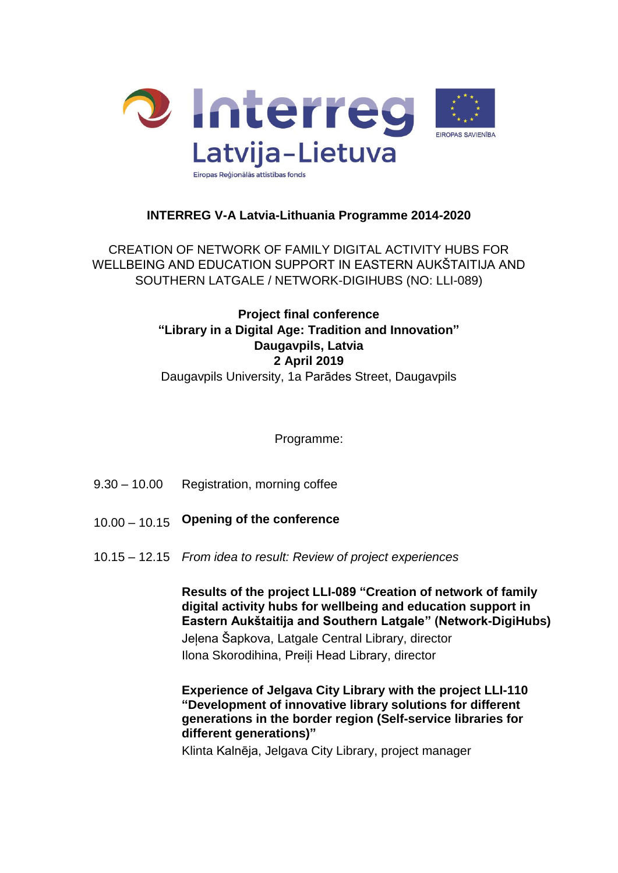

## **INTERREG V-A Latvia-Lithuania Programme 2014-2020**

CREATION OF NETWORK OF FAMILY DIGITAL ACTIVITY HUBS FOR WELLBEING AND EDUCATION SUPPORT IN EASTERN AUKŠTAITIJA AND SOUTHERN LATGALE / NETWORK-DIGIHUBS (NO: LLI-089)

# **Project final conference "Library in a Digital Age: Tradition and Innovation" Daugavpils, Latvia 2 April 2019** Daugavpils University, 1a Parādes Street, Daugavpils

Programme:

- 9.30 10.00 Registration, morning coffee
- 10.00 10.15 **Opening of the conference**
- 10.15 12.15 *From idea to result: Review of project experiences*

**Results of the project LLI-089 "Creation of network of family digital activity hubs for wellbeing and education support in Eastern Aukštaitija and Southern Latgale" (Network-DigiHubs)**

Jeļena Šapkova, Latgale Central Library, director Ilona Skorodihina, Preiļi Head Library, director

**Experience of Jelgava City Library with the project LLI-110 "Development of innovative library solutions for different generations in the border region (Self-service libraries for different generations)"**

Klinta Kalnēja, Jelgava City Library, project manager